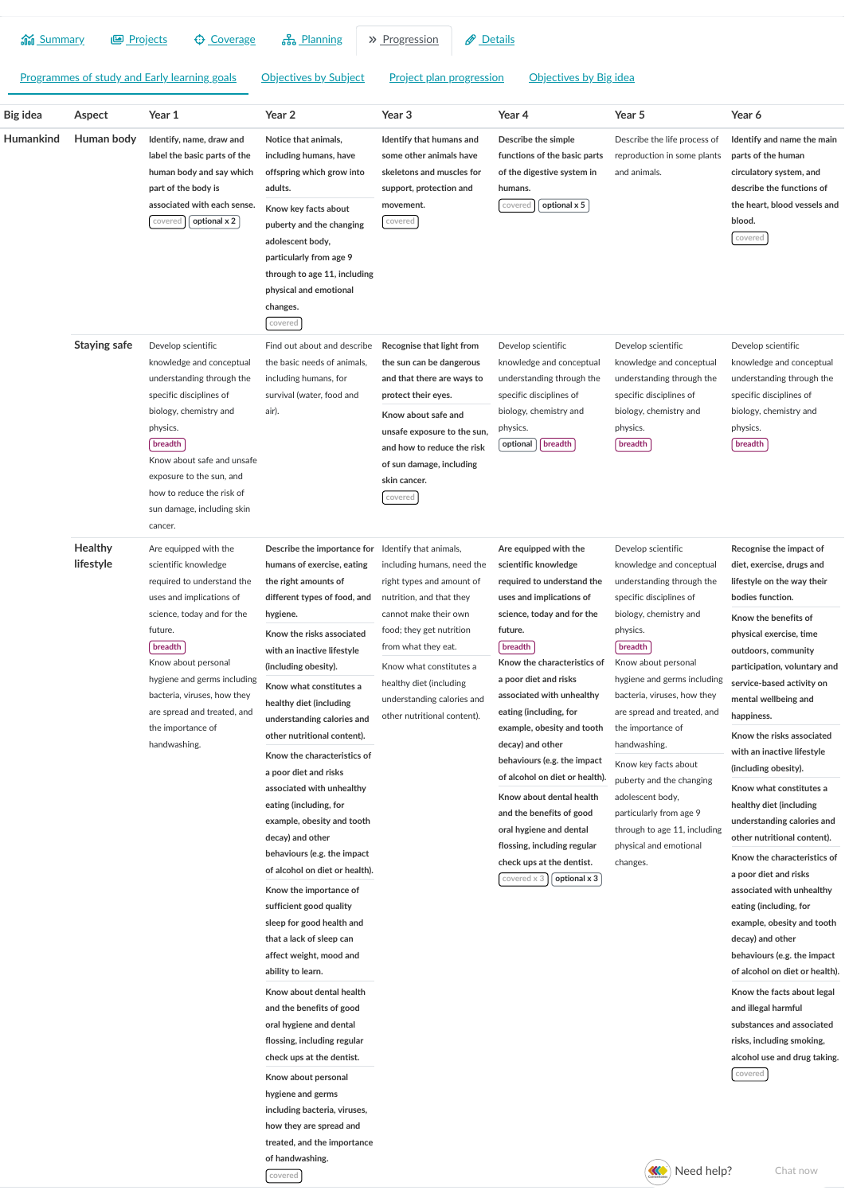| and Summary                                  | <b>Projects</b>      | <b>Coverage</b>                                                                                                                                                                                                                                                                                                                                                                                                                                                                                       | ː옮 Planning                                                                                                                                                                                                                                                                                    | Ø<br>» Progression                                                                                                                                                                                                                                                                                           | Details                                                                                                                                                                                                                                                                                                                                                                                                                                                                                                                                                                     |                                                                                                                                                                                                                                                                                                                                                                                                                                                                                                                   |                                                                                                                                                                                                                                                                                                                                                                                          |
|----------------------------------------------|----------------------|-------------------------------------------------------------------------------------------------------------------------------------------------------------------------------------------------------------------------------------------------------------------------------------------------------------------------------------------------------------------------------------------------------------------------------------------------------------------------------------------------------|------------------------------------------------------------------------------------------------------------------------------------------------------------------------------------------------------------------------------------------------------------------------------------------------|--------------------------------------------------------------------------------------------------------------------------------------------------------------------------------------------------------------------------------------------------------------------------------------------------------------|-----------------------------------------------------------------------------------------------------------------------------------------------------------------------------------------------------------------------------------------------------------------------------------------------------------------------------------------------------------------------------------------------------------------------------------------------------------------------------------------------------------------------------------------------------------------------------|-------------------------------------------------------------------------------------------------------------------------------------------------------------------------------------------------------------------------------------------------------------------------------------------------------------------------------------------------------------------------------------------------------------------------------------------------------------------------------------------------------------------|------------------------------------------------------------------------------------------------------------------------------------------------------------------------------------------------------------------------------------------------------------------------------------------------------------------------------------------------------------------------------------------|
| Programmes of study and Early learning goals |                      | Project plan progression<br>Objectives by Big idea<br><b>Objectives by Subject</b>                                                                                                                                                                                                                                                                                                                                                                                                                    |                                                                                                                                                                                                                                                                                                |                                                                                                                                                                                                                                                                                                              |                                                                                                                                                                                                                                                                                                                                                                                                                                                                                                                                                                             |                                                                                                                                                                                                                                                                                                                                                                                                                                                                                                                   |                                                                                                                                                                                                                                                                                                                                                                                          |
| Big idea                                     | Aspect               | Year 1                                                                                                                                                                                                                                                                                                                                                                                                                                                                                                | Year 2                                                                                                                                                                                                                                                                                         | Year <sub>3</sub>                                                                                                                                                                                                                                                                                            | Year 4                                                                                                                                                                                                                                                                                                                                                                                                                                                                                                                                                                      | Year 5                                                                                                                                                                                                                                                                                                                                                                                                                                                                                                            | Year 6                                                                                                                                                                                                                                                                                                                                                                                   |
| Humankind                                    | Human body           | Identify, name, draw and<br>label the basic parts of the<br>human body and say which<br>part of the body is<br>associated with each sense.<br>covered<br>optional x 2                                                                                                                                                                                                                                                                                                                                 | Notice that animals,<br>including humans, have<br>offspring which grow into<br>adults.<br>Know key facts about<br>puberty and the changing<br>adolescent body,<br>particularly from age 9<br>through to age 11, including<br>physical and emotional<br>changes.<br>covered                     | Identify that humans and<br>some other animals have<br>skeletons and muscles for<br>support, protection and<br>movement.<br>covered                                                                                                                                                                          | Describe the simple<br>functions of the basic parts<br>of the digestive system in<br>humans.<br>optional x 5<br>covered                                                                                                                                                                                                                                                                                                                                                                                                                                                     | Describe the life process of<br>reproduction in some plants<br>and animals.                                                                                                                                                                                                                                                                                                                                                                                                                                       | Identify and name the main<br>parts of the human<br>circulatory system, and<br>describe the functions of<br>the heart, blood vessels and<br>blood.<br>covered                                                                                                                                                                                                                            |
|                                              | <b>Staying safe</b>  | Develop scientific<br>knowledge and conceptual<br>understanding through the<br>specific disciplines of<br>biology, chemistry and<br>physics.<br>breadth<br>Know about safe and unsafe<br>exposure to the sun, and<br>how to reduce the risk of<br>sun damage, including skin<br>cancer.                                                                                                                                                                                                               | Find out about and describe<br>the basic needs of animals,<br>including humans, for<br>survival (water, food and<br>air).                                                                                                                                                                      | Recognise that light from<br>the sun can be dangerous<br>and that there are ways to<br>protect their eyes.<br>Know about safe and<br>unsafe exposure to the sun,<br>and how to reduce the risk<br>of sun damage, including<br>skin cancer.<br>covered                                                        | Develop scientific<br>knowledge and conceptual<br>understanding through the<br>specific disciplines of<br>biology, chemistry and<br>physics.<br>breadth<br>optional                                                                                                                                                                                                                                                                                                                                                                                                         | Develop scientific<br>knowledge and conceptual<br>understanding through the<br>specific disciplines of<br>biology, chemistry and<br>physics.<br>breadth                                                                                                                                                                                                                                                                                                                                                           | Develop scientific<br>knowledge and conceptual<br>understanding through the<br>specific disciplines of<br>biology, chemistry and<br>physics.<br>breadth                                                                                                                                                                                                                                  |
|                                              | Healthy<br>lifestyle | Are equipped with the<br>scientific knowledge<br>required to understand the<br>uses and implications of                                                                                                                                                                                                                                                                                                                                                                                               | Describe the importance for<br>humans of exercise, eating<br>the right amounts of<br>different types of food, and                                                                                                                                                                              | Identify that animals,<br>including humans, need the<br>right types and amount of<br>nutrition, and that they<br>cannot make their own<br>food; they get nutrition<br>from what they eat.<br>Know what constitutes a<br>healthy diet (including<br>understanding calories and<br>other nutritional content). | Are equipped with the<br>scientific knowledge<br>required to understand the<br>uses and implications of<br>science, today and for the<br>future.<br>breadth<br>Know the characteristics of<br>a poor diet and risks<br>associated with unhealthy<br>eating (including, for<br>example, obesity and tooth<br>decay) and other<br>behaviours (e.g. the impact<br>of alcohol on diet or health).<br>Know about dental health<br>and the benefits of good<br>oral hygiene and dental<br>flossing, including regular<br>check ups at the dentist.<br>optional x 3<br>covered x 3 | Develop scientific<br>knowledge and conceptual<br>understanding through the<br>specific disciplines of<br>biology, chemistry and<br>physics.<br>breadth<br>Know about personal<br>hygiene and germs including<br>bacteria, viruses, how they<br>are spread and treated, and<br>the importance of<br>handwashing.<br>Know key facts about<br>puberty and the changing<br>adolescent body,<br>particularly from age 9<br>through to age 11, including<br>physical and emotional<br>changes.<br><b>KO</b> Need help? | Recognise the impact of<br>diet, exercise, drugs and<br>lifestyle on the way their<br>bodies function.                                                                                                                                                                                                                                                                                   |
|                                              |                      | science, today and for the<br>hygiene.<br>future.<br>breadth<br>Know about personal<br>(including obesity).<br>hygiene and germs including<br>bacteria, viruses, how they<br>healthy diet (including<br>are spread and treated, and<br>the importance of<br>handwashing.<br>a poor diet and risks<br>eating (including, for<br>decay) and other<br>sufficient good quality<br>that a lack of sleep can<br>ability to learn.<br>Know about personal<br>hygiene and germs<br>of handwashing.<br>covered | Know the risks associated<br>with an inactive lifestyle<br>Know what constitutes a<br>understanding calories and<br>other nutritional content).<br>Know the characteristics of<br>associated with unhealthy<br>example, obesity and tooth                                                      |                                                                                                                                                                                                                                                                                                              |                                                                                                                                                                                                                                                                                                                                                                                                                                                                                                                                                                             |                                                                                                                                                                                                                                                                                                                                                                                                                                                                                                                   | Know the benefits of<br>physical exercise, time<br>outdoors, community<br>participation, voluntary and<br>service-based activity on<br>mental wellbeing and<br>happiness.<br>Know the risks associated<br>with an inactive lifestyle                                                                                                                                                     |
|                                              |                      |                                                                                                                                                                                                                                                                                                                                                                                                                                                                                                       |                                                                                                                                                                                                                                                                                                |                                                                                                                                                                                                                                                                                                              |                                                                                                                                                                                                                                                                                                                                                                                                                                                                                                                                                                             |                                                                                                                                                                                                                                                                                                                                                                                                                                                                                                                   | (including obesity).<br>Know what constitutes a<br>healthy diet (including<br>understanding calories and<br>other nutritional content).                                                                                                                                                                                                                                                  |
|                                              |                      |                                                                                                                                                                                                                                                                                                                                                                                                                                                                                                       | behaviours (e.g. the impact<br>of alcohol on diet or health).<br>Know the importance of<br>sleep for good health and<br>affect weight, mood and<br>Know about dental health<br>and the benefits of good<br>oral hygiene and dental<br>flossing, including regular<br>check ups at the dentist. |                                                                                                                                                                                                                                                                                                              |                                                                                                                                                                                                                                                                                                                                                                                                                                                                                                                                                                             |                                                                                                                                                                                                                                                                                                                                                                                                                                                                                                                   | Know the characteristics of<br>a poor diet and risks<br>associated with unhealthy<br>eating (including, for<br>example, obesity and tooth<br>decay) and other<br>behaviours (e.g. the impact<br>of alcohol on diet or health).<br>Know the facts about legal<br>and illegal harmful<br>substances and associated<br>risks, including smoking,<br>alcohol use and drug taking.<br>covered |
|                                              |                      |                                                                                                                                                                                                                                                                                                                                                                                                                                                                                                       | including bacteria, viruses,<br>how they are spread and<br>treated, and the importance                                                                                                                                                                                                         |                                                                                                                                                                                                                                                                                                              |                                                                                                                                                                                                                                                                                                                                                                                                                                                                                                                                                                             |                                                                                                                                                                                                                                                                                                                                                                                                                                                                                                                   | Chat now                                                                                                                                                                                                                                                                                                                                                                                 |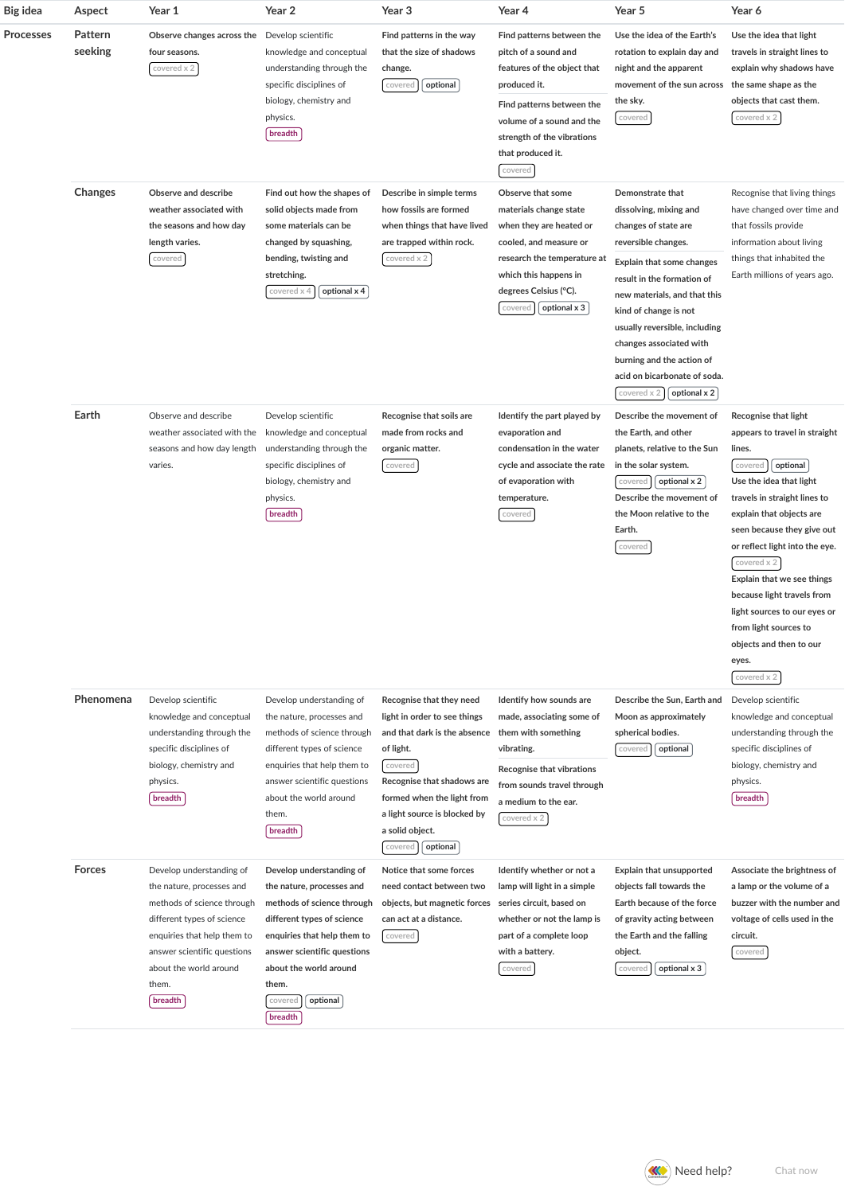| Big idea         | Aspect             | Year 1                                                                                                                                                                                                                        | Year 2                                                                                                                                                                                                                                               | Year 3                                                                                                                                                                                                                                                 | Year 4                                                                                                                                                                                                                   | Year 5                                                                                                                                                                                                                                                                                                                                                                | Year 6                                                                                                                                                                                                                                                                                                                                                                                                                               |
|------------------|--------------------|-------------------------------------------------------------------------------------------------------------------------------------------------------------------------------------------------------------------------------|------------------------------------------------------------------------------------------------------------------------------------------------------------------------------------------------------------------------------------------------------|--------------------------------------------------------------------------------------------------------------------------------------------------------------------------------------------------------------------------------------------------------|--------------------------------------------------------------------------------------------------------------------------------------------------------------------------------------------------------------------------|-----------------------------------------------------------------------------------------------------------------------------------------------------------------------------------------------------------------------------------------------------------------------------------------------------------------------------------------------------------------------|--------------------------------------------------------------------------------------------------------------------------------------------------------------------------------------------------------------------------------------------------------------------------------------------------------------------------------------------------------------------------------------------------------------------------------------|
| <b>Processes</b> | Pattern<br>seeking | Observe changes across the Develop scientific<br>four seasons.<br>covered x 2                                                                                                                                                 | knowledge and conceptual<br>understanding through the<br>specific disciplines of<br>biology, chemistry and<br>physics.<br>breadth                                                                                                                    | Find patterns in the way<br>that the size of shadows<br>change.<br>optional<br>covered                                                                                                                                                                 | Find patterns between the<br>pitch of a sound and<br>features of the object that<br>produced it.<br>Find patterns between the<br>volume of a sound and the<br>strength of the vibrations<br>that produced it.<br>covered | Use the idea of the Earth's<br>rotation to explain day and<br>night and the apparent<br>movement of the sun across<br>the sky.<br>covered                                                                                                                                                                                                                             | Use the idea that light<br>travels in straight lines to<br>explain why shadows have<br>the same shape as the<br>objects that cast them.<br>covered x 2                                                                                                                                                                                                                                                                               |
|                  | <b>Changes</b>     | Observe and describe<br>weather associated with<br>the seasons and how day<br>length varies.<br>covered                                                                                                                       | Find out how the shapes of<br>solid objects made from<br>some materials can be<br>changed by squashing,<br>bending, twisting and<br>stretching.<br>covered x<br>optional x 4                                                                         | Describe in simple terms<br>how fossils are formed<br>when things that have lived<br>are trapped within rock.<br>covered x 2                                                                                                                           | Observe that some<br>materials change state<br>when they are heated or<br>cooled, and measure or<br>research the temperature at<br>which this happens in<br>degrees Celsius (°C).<br>optional x 3<br>covered             | Demonstrate that<br>dissolving, mixing and<br>changes of state are<br>reversible changes.<br>Explain that some changes<br>result in the formation of<br>new materials, and that this<br>kind of change is not<br>usually reversible, including<br>changes associated with<br>burning and the action of<br>acid on bicarbonate of soda.<br>covered x 2<br>optional x 2 | Recognise that living things<br>have changed over time and<br>that fossils provide<br>information about living<br>things that inhabited the<br>Earth millions of years ago.                                                                                                                                                                                                                                                          |
|                  | Earth              | Observe and describe<br>weather associated with the<br>seasons and how day length<br>varies.                                                                                                                                  | Develop scientific<br>knowledge and conceptual<br>understanding through the<br>specific disciplines of<br>biology, chemistry and<br>physics.<br>breadth                                                                                              | Recognise that soils are<br>made from rocks and<br>organic matter.<br>covered                                                                                                                                                                          | Identify the part played by<br>evaporation and<br>condensation in the water<br>cycle and associate the rate<br>of evaporation with<br>temperature.<br>covered                                                            | Describe the movement of<br>the Earth, and other<br>planets, relative to the Sun<br>in the solar system.<br>optional x 2<br>covered<br>Describe the movement of<br>the Moon relative to the<br>Earth.<br>covered                                                                                                                                                      | Recognise that light<br>appears to travel in straight<br>lines.<br>optional<br>covered<br>Use the idea that light<br>travels in straight lines to<br>explain that objects are<br>seen because they give out<br>or reflect light into the eye.<br>covered x 2<br>Explain that we see things<br>because light travels from<br>light sources to our eyes or<br>from light sources to<br>objects and then to our<br>eyes.<br>covered x 2 |
|                  | Phenomena          | Develop scientific<br>knowledge and conceptual<br>understanding through the<br>specific disciplines of<br>biology, chemistry and<br>physics.<br>breadth                                                                       | Develop understanding of<br>the nature, processes and<br>methods of science through<br>different types of science<br>enquiries that help them to<br>answer scientific questions<br>about the world around<br>them.<br>breadth                        | Recognise that they need<br>light in order to see things<br>and that dark is the absence<br>of light.<br>covered<br>Recognise that shadows are<br>formed when the light from<br>a light source is blocked by<br>a solid object.<br>optional<br>covered | Identify how sounds are<br>made, associating some of<br>them with something<br>vibrating.<br>Recognise that vibrations<br>from sounds travel through<br>a medium to the ear.<br>covered x 2                              | Describe the Sun, Earth and<br>Moon as approximately<br>spherical bodies.<br>optional<br>covered                                                                                                                                                                                                                                                                      | Develop scientific<br>knowledge and conceptual<br>understanding through the<br>specific disciplines of<br>biology, chemistry and<br>physics.<br>breadth                                                                                                                                                                                                                                                                              |
|                  | <b>Forces</b>      | Develop understanding of<br>the nature, processes and<br>methods of science through<br>different types of science<br>enquiries that help them to<br>answer scientific questions<br>about the world around<br>them.<br>breadth | Develop understanding of<br>the nature, processes and<br>methods of science through<br>different types of science<br>enquiries that help them to<br>answer scientific questions<br>about the world around<br>them.<br>optional<br>covered<br>breadth | Notice that some forces<br>need contact between two<br>objects, but magnetic forces<br>can act at a distance.<br>covered                                                                                                                               | Identify whether or not a<br>lamp will light in a simple<br>series circuit, based on<br>whether or not the lamp is<br>part of a complete loop<br>with a battery.<br>covered                                              | Explain that unsupported<br>objects fall towards the<br>Earth because of the force<br>of gravity acting between<br>the Earth and the falling<br>object.<br>optional x 3<br>covered                                                                                                                                                                                    | Associate the brightness of<br>a lamp or the volume of a<br>buzzer with the number and<br>voltage of cells used in the<br>circuit.<br>covered                                                                                                                                                                                                                                                                                        |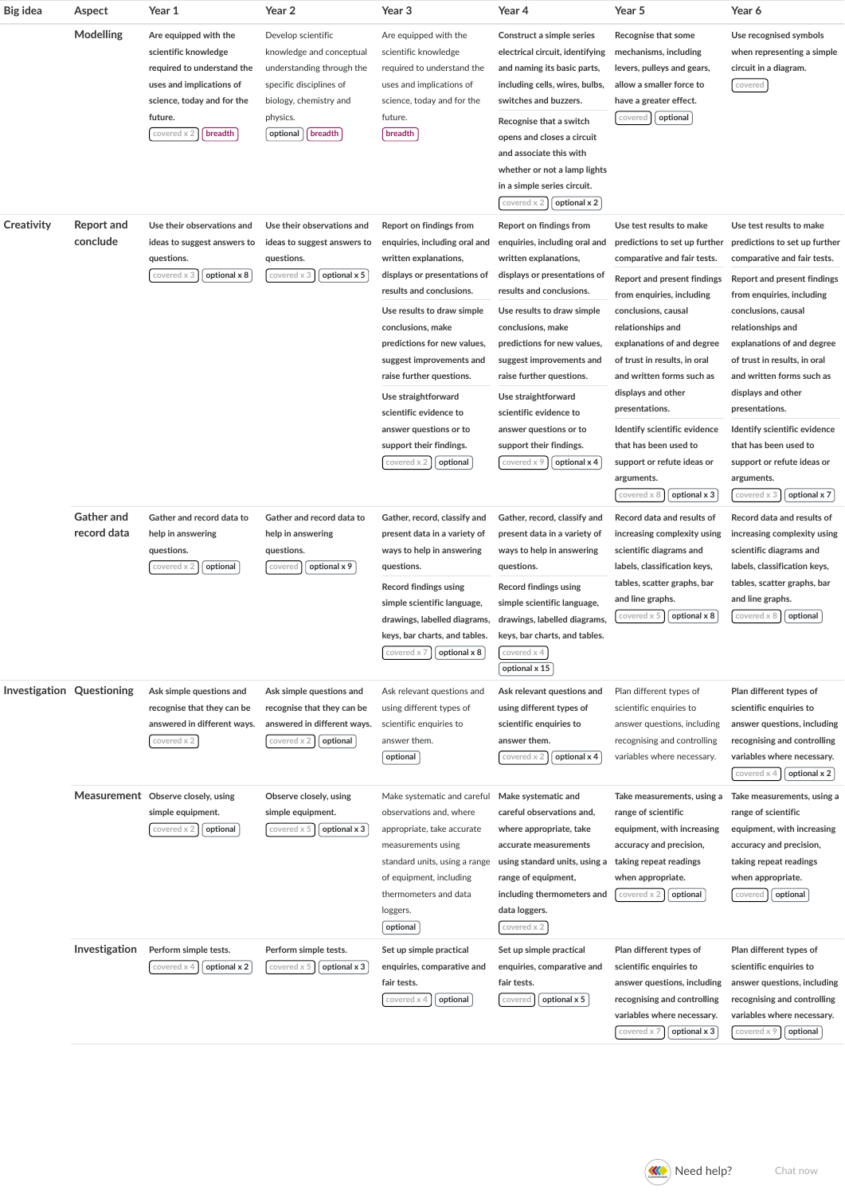| <b>Big idea</b>           | Aspect                           | Year 1                                                                                                                                                                     | Year 2                                                                                                                                                              | Year 3                                                                                                                                                                                                                                                                                                                                                                                                                   | Year 4                                                                                                                                                                                                                                                                                                                                                                                                                       | Year 5                                                                                                                                                                                                                                                                                                                                                                                                                                                                       | Year 6                                                                                                                                                                                                                                                                                                                                                                                                                                                                         |
|---------------------------|----------------------------------|----------------------------------------------------------------------------------------------------------------------------------------------------------------------------|---------------------------------------------------------------------------------------------------------------------------------------------------------------------|--------------------------------------------------------------------------------------------------------------------------------------------------------------------------------------------------------------------------------------------------------------------------------------------------------------------------------------------------------------------------------------------------------------------------|------------------------------------------------------------------------------------------------------------------------------------------------------------------------------------------------------------------------------------------------------------------------------------------------------------------------------------------------------------------------------------------------------------------------------|------------------------------------------------------------------------------------------------------------------------------------------------------------------------------------------------------------------------------------------------------------------------------------------------------------------------------------------------------------------------------------------------------------------------------------------------------------------------------|--------------------------------------------------------------------------------------------------------------------------------------------------------------------------------------------------------------------------------------------------------------------------------------------------------------------------------------------------------------------------------------------------------------------------------------------------------------------------------|
|                           | Modelling                        | Are equipped with the<br>scientific knowledge<br>required to understand the<br>uses and implications of<br>science, today and for the<br>future.<br>breadth<br>covered x 2 | Develop scientific<br>knowledge and conceptual<br>understanding through the<br>specific disciplines of<br>biology, chemistry and<br>physics.<br>breadth<br>optional | Are equipped with the<br>scientific knowledge<br>required to understand the<br>uses and implications of<br>science, today and for the<br>future.<br>breadth                                                                                                                                                                                                                                                              | Construct a simple series<br>electrical circuit, identifying<br>and naming its basic parts,<br>including cells, wires, bulbs,<br>switches and buzzers.<br>Recognise that a switch<br>opens and closes a circuit<br>and associate this with<br>whether or not a lamp lights<br>in a simple series circuit.<br>optional x 2<br>covered x 2                                                                                     | Recognise that some<br>mechanisms, including<br>levers, pulleys and gears,<br>allow a smaller force to<br>have a greater effect.<br>optional<br>covered                                                                                                                                                                                                                                                                                                                      | Use recognised symbols<br>when representing a simple<br>circuit in a diagram.<br>covered                                                                                                                                                                                                                                                                                                                                                                                       |
| Creativity                | Report and<br>conclude           | Use their observations and<br>ideas to suggest answers to<br>questions.<br>optional x 8<br>covered x 3                                                                     | Use their observations and<br>ideas to suggest answers to<br>questions.<br>optional x 5<br>covered x 3                                                              | Report on findings from<br>enquiries, including oral and<br>written explanations,<br>displays or presentations of<br>results and conclusions.<br>Use results to draw simple<br>conclusions, make<br>predictions for new values,<br>suggest improvements and<br>raise further questions.<br>Use straightforward<br>scientific evidence to<br>answer questions or to<br>support their findings.<br>optional<br>covered x 2 | Report on findings from<br>enquiries, including oral and<br>written explanations,<br>displays or presentations of<br>results and conclusions.<br>Use results to draw simple<br>conclusions, make<br>predictions for new values,<br>suggest improvements and<br>raise further questions.<br>Use straightforward<br>scientific evidence to<br>answer questions or to<br>support their findings.<br>optional x 4<br>covered x 9 | Use test results to make<br>predictions to set up further<br>comparative and fair tests.<br><b>Report and present findings</b><br>from enquiries, including<br>conclusions, causal<br>relationships and<br>explanations of and degree<br>of trust in results, in oral<br>and written forms such as<br>displays and other<br>presentations.<br>Identify scientific evidence<br>that has been used to<br>support or refute ideas or<br>arguments.<br>covered x<br>optional x 3 | Use test results to make<br>predictions to set up further<br>comparative and fair tests.<br><b>Report and present findings</b><br>from enquiries, including<br>conclusions, causal<br>relationships and<br>explanations of and degree<br>of trust in results, in oral<br>and written forms such as<br>displays and other<br>presentations.<br>Identify scientific evidence<br>that has been used to<br>support or refute ideas or<br>arguments.<br>covered x 3<br>optional x 7 |
|                           | <b>Gather and</b><br>record data | Gather and record data to<br>help in answering<br>questions.<br>covered x 2<br>optional                                                                                    | Gather and record data to<br>help in answering<br>questions.<br>optional x 9<br>covered                                                                             | Gather, record, classify and<br>present data in a variety of<br>ways to help in answering<br>questions.<br>Record findings using<br>simple scientific language,<br>keys, bar charts, and tables.<br>covered x 7<br>optional x 8                                                                                                                                                                                          | Gather, record, classify and<br>present data in a variety of<br>ways to help in answering<br>questions.<br>Record findings using<br>simple scientific language,<br>drawings, labelled diagrams, drawings, labelled diagrams,<br>keys, bar charts, and tables.<br>covered x 4<br>optional x 15                                                                                                                                | Record data and results of<br>increasing complexity using<br>scientific diagrams and<br>labels, classification keys,<br>tables, scatter graphs, bar<br>and line graphs.<br>covered x 5<br>optional x 8                                                                                                                                                                                                                                                                       | Record data and results of<br>increasing complexity using<br>scientific diagrams and<br>labels, classification keys,<br>tables, scatter graphs, bar<br>and line graphs.<br>optional<br>covered x 8                                                                                                                                                                                                                                                                             |
| Investigation Questioning |                                  | Ask simple questions and<br>recognise that they can be<br>answered in different ways.<br>covered x 2                                                                       | Ask simple questions and<br>recognise that they can be<br>answered in different ways.<br>covered x<br>optional                                                      | Ask relevant questions and<br>using different types of<br>scientific enquiries to<br>answer them.<br>optional                                                                                                                                                                                                                                                                                                            | Ask relevant questions and<br>using different types of<br>scientific enquiries to<br>answer them.<br>optional x 4<br>covered x                                                                                                                                                                                                                                                                                               | Plan different types of<br>scientific enquiries to<br>answer questions, including<br>recognising and controlling<br>variables where necessary.                                                                                                                                                                                                                                                                                                                               | Plan different types of<br>scientific enquiries to<br>answer questions, including<br>recognising and controlling<br>variables where necessary.<br>covered x 4<br>optional x 2                                                                                                                                                                                                                                                                                                  |
|                           |                                  | Measurement Observe closely, using<br>simple equipment.<br>covered x 2<br>optional                                                                                         | Observe closely, using<br>simple equipment.<br>optional x 3<br>covered x 5                                                                                          | Make systematic and careful<br>observations and, where<br>appropriate, take accurate<br>measurements using<br>standard units, using a range<br>of equipment, including<br>thermometers and data<br>loggers.<br>optional                                                                                                                                                                                                  | Make systematic and<br>careful observations and,<br>where appropriate, take<br>accurate measurements<br>using standard units, using a<br>range of equipment,<br>including thermometers and<br>data loggers.<br>covered x 2                                                                                                                                                                                                   | Take measurements, using a<br>range of scientific<br>equipment, with increasing<br>accuracy and precision,<br>taking repeat readings<br>when appropriate.<br>covered x 2<br>optional                                                                                                                                                                                                                                                                                         | Take measurements, using a<br>range of scientific<br>equipment, with increasing<br>accuracy and precision,<br>taking repeat readings<br>when appropriate.<br>optional<br>covered                                                                                                                                                                                                                                                                                               |
|                           | Investigation                    | Perform simple tests.<br>optional x 2<br>covered x 4                                                                                                                       | Perform simple tests.<br>covered x 5<br>optional x 3                                                                                                                | Set up simple practical<br>enquiries, comparative and<br>fair tests.<br>covered x 4<br>optional                                                                                                                                                                                                                                                                                                                          | Set up simple practical<br>enquiries, comparative and<br>fair tests.<br>optional x 5<br>covered                                                                                                                                                                                                                                                                                                                              | Plan different types of<br>scientific enquiries to<br>answer questions, including<br>recognising and controlling<br>variables where necessary.<br>optional x 3<br>covered x 7                                                                                                                                                                                                                                                                                                | Plan different types of<br>scientific enquiries to<br>answer questions, including<br>recognising and controlling<br>variables where necessary.<br>optional<br>covered x 9                                                                                                                                                                                                                                                                                                      |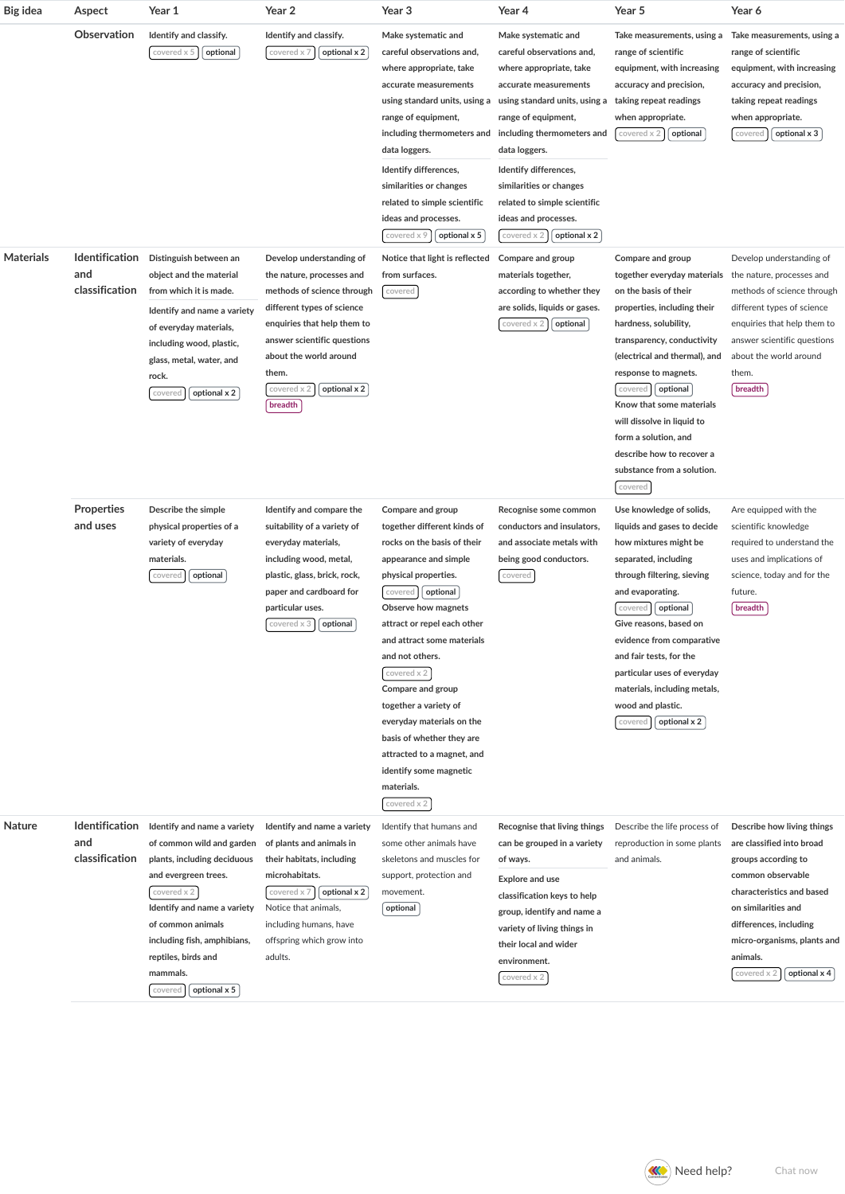| Big idea         | Aspect                                         | Year 1                                                                                                                                                                                                                                                                          | Year 2                                                                                                                                                                                                                                                       | Year 3                                                                                                                                                                                                                                                                                                                                                                                                                                                                     | Year 4                                                                                                                                                                                                                                                                                                                                                 | Year 5                                                                                                                                                                                                                                                                                                                                                                                                  | Year 6                                                                                                                                                                                                                                                      |
|------------------|------------------------------------------------|---------------------------------------------------------------------------------------------------------------------------------------------------------------------------------------------------------------------------------------------------------------------------------|--------------------------------------------------------------------------------------------------------------------------------------------------------------------------------------------------------------------------------------------------------------|----------------------------------------------------------------------------------------------------------------------------------------------------------------------------------------------------------------------------------------------------------------------------------------------------------------------------------------------------------------------------------------------------------------------------------------------------------------------------|--------------------------------------------------------------------------------------------------------------------------------------------------------------------------------------------------------------------------------------------------------------------------------------------------------------------------------------------------------|---------------------------------------------------------------------------------------------------------------------------------------------------------------------------------------------------------------------------------------------------------------------------------------------------------------------------------------------------------------------------------------------------------|-------------------------------------------------------------------------------------------------------------------------------------------------------------------------------------------------------------------------------------------------------------|
|                  | Observation                                    | Identify and classify.<br>covered x 5<br>optional                                                                                                                                                                                                                               | Identify and classify.<br>optional x 2<br>covered x 7                                                                                                                                                                                                        | Make systematic and<br>careful observations and,<br>where appropriate, take<br>accurate measurements<br>using standard units, using a<br>range of equipment,<br>including thermometers and<br>data loggers.<br>Identify differences,<br>similarities or changes<br>related to simple scientific<br>ideas and processes.<br>covered x 9<br>optional x 5                                                                                                                     | Make systematic and<br>careful observations and,<br>where appropriate, take<br>accurate measurements<br>using standard units, using a<br>range of equipment,<br>including thermometers and<br>data loggers.<br>Identify differences,<br>similarities or changes<br>related to simple scientific<br>ideas and processes.<br>optional x 2<br>covered x 2 | Take measurements, using a<br>range of scientific<br>equipment, with increasing<br>accuracy and precision,<br>taking repeat readings<br>when appropriate.<br>optional<br>covered x 2                                                                                                                                                                                                                    | Take measurements, using a<br>range of scientific<br>equipment, with increasing<br>accuracy and precision,<br>taking repeat readings<br>when appropriate.<br>optional x 3<br>covered                                                                        |
| <b>Materials</b> | <b>Identification</b><br>and<br>classification | Distinguish between an<br>object and the material<br>from which it is made.<br>Identify and name a variety<br>of everyday materials,<br>including wood, plastic,<br>glass, metal, water, and<br>rock.<br>optional x 2<br>covered                                                | Develop understanding of<br>the nature, processes and<br>methods of science through<br>different types of science<br>enquiries that help them to<br>answer scientific questions<br>about the world around<br>them.<br>optional x 2<br>covered x 2<br>breadth | Notice that light is reflected<br>from surfaces.<br>covered                                                                                                                                                                                                                                                                                                                                                                                                                | Compare and group<br>materials together,<br>according to whether they<br>are solids, liquids or gases.<br>covered x 2<br>optional                                                                                                                                                                                                                      | Compare and group<br>together everyday materials<br>on the basis of their<br>properties, including their<br>hardness, solubility,<br>transparency, conductivity<br>(electrical and thermal), and<br>response to magnets.<br>optional<br>covered<br>Know that some materials<br>will dissolve in liquid to<br>form a solution, and<br>describe how to recover a<br>substance from a solution.<br>covered | Develop understanding of<br>the nature, processes and<br>methods of science through<br>different types of science<br>enquiries that help them to<br>answer scientific questions<br>about the world around<br>them.<br>breadth                               |
|                  | <b>Properties</b><br>and uses                  | Describe the simple<br>physical properties of a<br>variety of everyday<br>materials.<br>optional<br>covered                                                                                                                                                                     | Identify and compare the<br>suitability of a variety of<br>everyday materials,<br>including wood, metal,<br>plastic, glass, brick, rock,<br>paper and cardboard for<br>particular uses.<br>covered $\times$ 3 $\int$ optional                                | Compare and group<br>together different kinds of<br>rocks on the basis of their<br>appearance and simple<br>physical properties.<br>optional<br>covered<br>Observe how magnets<br>attract or repel each other<br>and attract some materials<br>and not others.<br>covered x 2<br>Compare and group<br>together a variety of<br>everyday materials on the<br>basis of whether they are<br>attracted to a magnet, and<br>identify some magnetic<br>materials.<br>covered x 2 | Recognise some common<br>conductors and insulators,<br>and associate metals with<br>being good conductors.<br>covered                                                                                                                                                                                                                                  | Use knowledge of solids,<br>liquids and gases to decide<br>how mixtures might be<br>separated, including<br>through filtering, sieving<br>and evaporating.<br>optional<br>covered<br>Give reasons, based on<br>evidence from comparative<br>and fair tests, for the<br>particular uses of everyday<br>materials, including metals,<br>wood and plastic.<br>optional x 2<br>covered                      | Are equipped with the<br>scientific knowledge<br>required to understand the<br>uses and implications of<br>science, today and for the<br>future.<br>breadth                                                                                                 |
| Nature           | <b>Identification</b><br>and<br>classification | Identify and name a variety<br>of common wild and garden<br>plants, including deciduous<br>and evergreen trees.<br>covered x 2<br>Identify and name a variety<br>of common animals<br>including fish, amphibians,<br>reptiles, birds and<br>mammals.<br>optional x 5<br>covered | Identify and name a variety<br>of plants and animals in<br>their habitats, including<br>microhabitats.<br>covered x 7<br>optional x 2<br>Notice that animals,<br>including humans, have<br>offspring which grow into<br>adults.                              | Identify that humans and<br>some other animals have<br>skeletons and muscles for<br>support, protection and<br>movement.<br>optional                                                                                                                                                                                                                                                                                                                                       | Recognise that living things<br>can be grouped in a variety<br>of ways.<br><b>Explore and use</b><br>classification keys to help<br>group, identify and name a<br>variety of living things in<br>their local and wider<br>environment.<br>covered x 2                                                                                                  | Describe the life process of<br>reproduction in some plants<br>and animals.                                                                                                                                                                                                                                                                                                                             | Describe how living things<br>are classified into broad<br>groups according to<br>common observable<br>characteristics and based<br>on similarities and<br>differences, including<br>micro-organisms, plants and<br>animals.<br>optional x 4<br>covered x 2 |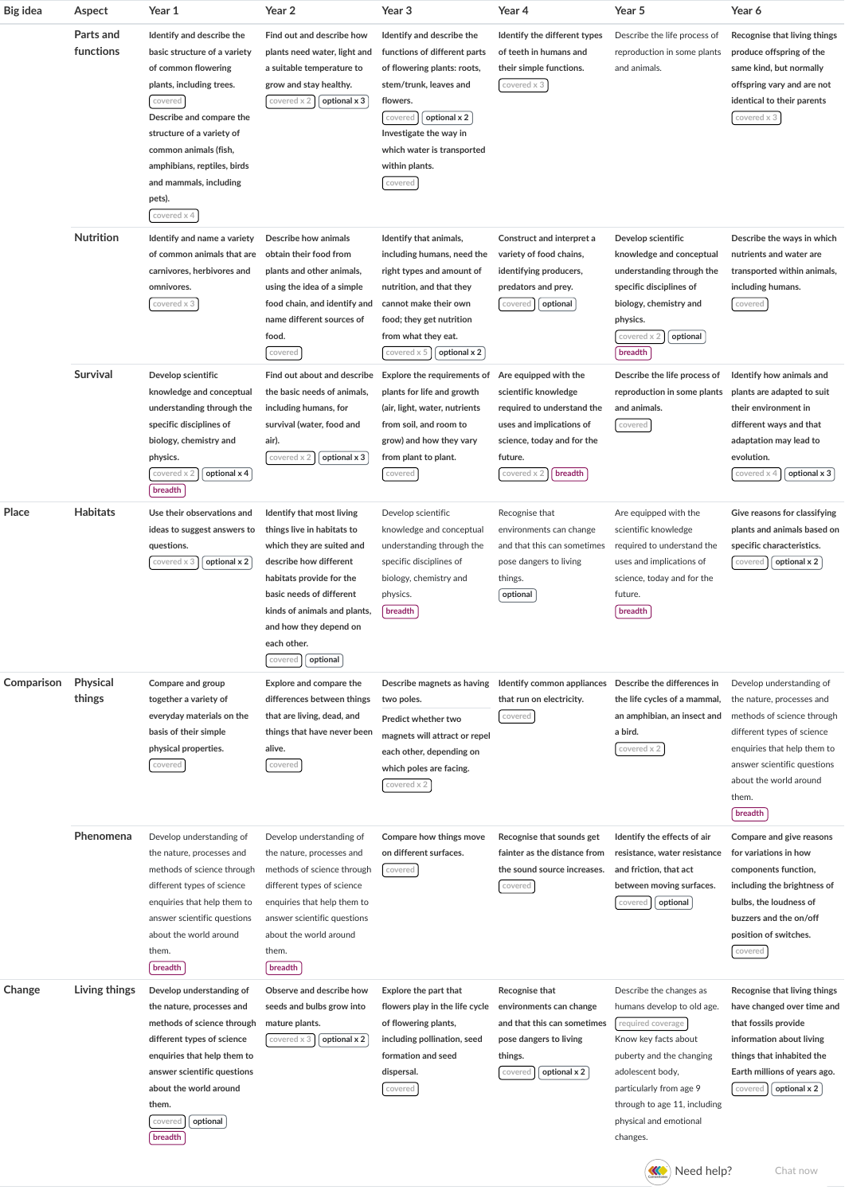| Big idea   | Aspect                 | Year 1                                                                                                                                                                                                                                                                                      | Year 2                                                                                                                                                                                                                                                                 | Year 3                                                                                                                                                                                                                                         | Year 4                                                                                                                                                                    | Year 5                                                                                                                                                                                                                                              | Year 6                                                                                                                                                                                                                        |
|------------|------------------------|---------------------------------------------------------------------------------------------------------------------------------------------------------------------------------------------------------------------------------------------------------------------------------------------|------------------------------------------------------------------------------------------------------------------------------------------------------------------------------------------------------------------------------------------------------------------------|------------------------------------------------------------------------------------------------------------------------------------------------------------------------------------------------------------------------------------------------|---------------------------------------------------------------------------------------------------------------------------------------------------------------------------|-----------------------------------------------------------------------------------------------------------------------------------------------------------------------------------------------------------------------------------------------------|-------------------------------------------------------------------------------------------------------------------------------------------------------------------------------------------------------------------------------|
|            | Parts and<br>functions | Identify and describe the<br>basic structure of a variety<br>of common flowering<br>plants, including trees.<br>covered<br>Describe and compare the<br>structure of a variety of<br>common animals (fish,<br>amphibians, reptiles, birds<br>and mammals, including<br>pets).<br>covered x 4 | Find out and describe how<br>plants need water, light and<br>a suitable temperature to<br>grow and stay healthy.<br>optional x 3<br>covered x                                                                                                                          | Identify and describe the<br>functions of different parts<br>of flowering plants: roots,<br>stem/trunk, leaves and<br>flowers.<br>optional x 2<br>covered<br>Investigate the way in<br>which water is transported<br>within plants.<br>covered | Identify the different types<br>of teeth in humans and<br>their simple functions.<br>covered x 3                                                                          | Describe the life process of<br>reproduction in some plants<br>and animals.                                                                                                                                                                         | Recognise that living things<br>produce offspring of the<br>same kind, but normally<br>offspring vary and are not<br>identical to their parents<br>covered x 3                                                                |
|            | <b>Nutrition</b>       | Identify and name a variety<br>of common animals that are<br>carnivores, herbivores and<br>omnivores.<br>covered x 3                                                                                                                                                                        | Describe how animals<br>obtain their food from<br>plants and other animals,<br>using the idea of a simple<br>food chain, and identify and<br>name different sources of<br>food.<br>covered                                                                             | Identify that animals,<br>including humans, need the<br>right types and amount of<br>nutrition, and that they<br>cannot make their own<br>food; they get nutrition<br>from what they eat.<br>covered x 5<br>optional x 2                       | Construct and interpret a<br>variety of food chains,<br>identifying producers,<br>predators and prey.<br>optional<br>covered                                              | Develop scientific<br>knowledge and conceptual<br>understanding through the<br>specific disciplines of<br>biology, chemistry and<br>physics.<br>optional<br>covered x<br>breadth                                                                    | Describe the ways in which<br>nutrients and water are<br>transported within animals,<br>including humans.<br>covered                                                                                                          |
|            | Survival               | Develop scientific<br>knowledge and conceptual<br>understanding through the<br>specific disciplines of<br>biology, chemistry and<br>physics.<br>optional x 4<br>covered x 2<br>breadth                                                                                                      | Find out about and describe<br>the basic needs of animals.<br>including humans, for<br>survival (water, food and<br>air).<br>covered x<br>optional x 3                                                                                                                 | Explore the requirements of<br>plants for life and growth<br>(air, light, water, nutrients<br>from soil, and room to<br>grow) and how they vary<br>from plant to plant.<br>covered                                                             | Are equipped with the<br>scientific knowledge<br>required to understand the<br>uses and implications of<br>science, today and for the<br>future.<br>breadth<br>covered x: | Describe the life process of<br>reproduction in some plants<br>and animals.<br>covered                                                                                                                                                              | Identify how animals and<br>plants are adapted to suit<br>their environment in<br>different ways and that<br>adaptation may lead to<br>evolution.<br>optional x 3<br>covered x 4                                              |
| Place      | <b>Habitats</b>        | Use their observations and<br>ideas to suggest answers to<br>questions.<br>covered ><br>optional x 2                                                                                                                                                                                        | Identify that most living<br>things live in habitats to<br>which they are suited and<br>describe how different<br>habitats provide for the<br>basic needs of different<br>kinds of animals and plants,<br>and how they depend on<br>each other.<br>optional<br>covered | Develop scientific<br>knowledge and conceptual<br>understanding through the<br>specific disciplines of<br>biology, chemistry and<br>physics.<br>breadth                                                                                        | Recognise that<br>environments can change<br>and that this can sometimes<br>pose dangers to living<br>things.<br>optional                                                 | Are equipped with the<br>scientific knowledge<br>required to understand the<br>uses and implications of<br>science, today and for the<br>future.<br>breadth                                                                                         | Give reasons for classifying<br>plants and animals based on<br>specific characteristics.<br>covered<br>optional x 2                                                                                                           |
| Comparison | Physical<br>things     | Compare and group<br>together a variety of<br>everyday materials on the<br>basis of their simple<br>physical properties.<br>covered                                                                                                                                                         | Explore and compare the<br>differences between things<br>that are living, dead, and<br>things that have never been<br>alive.<br>covered                                                                                                                                | Describe magnets as having<br>two poles.<br>Predict whether two<br>magnets will attract or repel<br>each other, depending on<br>which poles are facing.<br>covered x 2                                                                         | Identify common appliances<br>that run on electricity.<br>covered                                                                                                         | Describe the differences in<br>the life cycles of a mammal,<br>an amphibian, an insect and<br>a bird.<br>covered x 2                                                                                                                                | Develop understanding of<br>the nature, processes and<br>methods of science through<br>different types of science<br>enquiries that help them to<br>answer scientific questions<br>about the world around<br>them.<br>breadth |
|            | Phenomena              | Develop understanding of<br>the nature, processes and<br>methods of science through<br>different types of science<br>enquiries that help them to<br>answer scientific questions<br>about the world around<br>them.<br>breadth                                                               | Develop understanding of<br>the nature, processes and<br>methods of science through<br>different types of science<br>enquiries that help them to<br>answer scientific questions<br>about the world around<br>them.<br>breadth                                          | Compare how things move<br>on different surfaces.<br>covered                                                                                                                                                                                   | Recognise that sounds get<br>fainter as the distance from<br>the sound source increases.<br>covered                                                                       | Identify the effects of air<br>resistance, water resistance<br>and friction, that act<br>between moving surfaces.<br>optional<br>covered                                                                                                            | Compare and give reasons<br>for variations in how<br>components function,<br>including the brightness of<br>bulbs, the loudness of<br>buzzers and the on/off<br>position of switches.<br>covered                              |
| Change     | Living things          | Develop understanding of<br>the nature, processes and<br>methods of science through<br>different types of science<br>enquiries that help them to<br>answer scientific questions<br>about the world around<br>them.<br>optional<br>covered<br>breadth                                        | Observe and describe how<br>seeds and bulbs grow into<br>mature plants.<br>optional x 2<br>covered x 3                                                                                                                                                                 | Explore the part that<br>flowers play in the life cycle<br>of flowering plants,<br>including pollination, seed<br>formation and seed<br>dispersal.<br>covered                                                                                  | Recognise that<br>environments can change<br>and that this can sometimes<br>pose dangers to living<br>things.<br>covered<br>optional x 2                                  | Describe the changes as<br>humans develop to old age.<br>required coverage<br>Know key facts about<br>puberty and the changing<br>adolescent body,<br>particularly from age 9<br>through to age 11, including<br>physical and emotional<br>changes. | Recognise that living things<br>have changed over time and<br>that fossils provide<br>information about living<br>things that inhabited the<br>Earth millions of years ago.<br>covered<br>optional x 2                        |